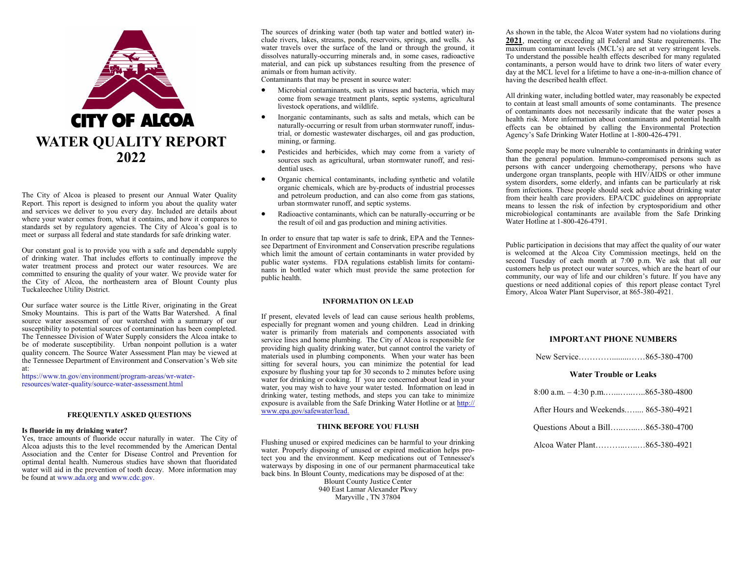

The City of Alcoa is pleased to present our Annual Water Quality Report. This report is designed to inform you about the quality water and services we deliver to you every day. Included are details about where your water comes from, what it contains, and how it compares to standards set by regulatory agencies. The City of Alcoa's goal is to meet or surpass all federal and state standards for safe drinking water.

Our constant goal is to provide you with a safe and dependable supply of drinking water. That includes efforts to continually improve the water treatment process and protect our water resources. We are committed to ensuring the quality of your water. We provide water for the City of Alcoa, the northeastern area of Blount County plus Tuckaleechee Utility District.

Our surface water source is the Little River, originating in the Great Smoky Mountains. This is part of the Watts Bar Watershed. A final source water assessment of our watershed with a summary of our susceptibility to potential sources of contamination has been completed. The Tennessee Division of Water Supply considers the Alcoa intake to be of moderate susceptibility. Urban nonpoint pollution is a water quality concern. The Source Water Assessment Plan may be viewed at the Tennessee Department of Environment and Conservation's Web site at:

https://www.tn.gov/environment/program-areas/wr-waterresources/water-quality/source-water-assessment.html

# **FREQUENTLY ASKED QUESTIONS**

#### **Is fluoride in my drinking water?**

Yes, trace amounts of fluoride occur naturally in water. The City of Alcoa adjusts this to the level recommended by the American Dental Association and the Center for Disease Control and Prevention for optimal dental health. Numerous studies have shown that fluoridated water will aid in the prevention of tooth decay. More information may be found at www.ada.org and www.cdc.gov.

The sources of drinking water (both tap water and bottled water) include rivers, lakes, streams, ponds, reservoirs, springs, and wells. As water travels over the surface of the land or through the ground, it dissolves naturally-occurring minerals and, in some cases, radioactive material, and can pick up substances resulting from the presence of animals or from human activity.

Contaminants that may be present in source water:

- Microbial contaminants, such as viruses and bacteria, which may come from sewage treatment plants, septic systems, agricultural livestock operations, and wildlife.
- Inorganic contaminants, such as salts and metals, which can be naturally-occurring or result from urban stormwater runoff, industrial, or domestic wastewater discharges, oil and gas production, mining, or farming.
- Pesticides and herbicides, which may come from a variety of sources such as agricultural, urban stormwater runoff, and residential uses.
- Organic chemical contaminants, including synthetic and volatile organic chemicals, which are by-products of industrial processes and petroleum production, and can also come from gas stations, urban stormwater runoff, and septic systems.
- Radioactive contaminants, which can be naturally-occurring or be the result of oil and gas production and mining activities.

In order to ensure that tap water is safe to drink, EPA and the Tennessee Department of Environment and Conservation prescribe regulations which limit the amount of certain contaminants in water provided by public water systems. FDA regulations establish limits for contaminants in bottled water which must provide the same protection for public health.

# **INFORMATION ON LEAD**

If present, elevated levels of lead can cause serious health problems, especially for pregnant women and young children. Lead in drinking water is primarily from materials and components associated with service lines and home plumbing. The City of Alcoa is responsible for providing high quality drinking water, but cannot control the variety of materials used in plumbing components. When your water has been sitting for several hours, you can minimize the potential for lead exposure by flushing your tap for 30 seconds to 2 minutes before using water for drinking or cooking. If you are concerned about lead in your water, you may wish to have your water tested. Information on lead in drinking water, testing methods, and steps you can take to minimize exposure is available from the Safe Drinking Water Hotline or at http:// www.epa.gov/safewater/lead.

### **THINK BEFORE YOU FLUSH**

Flushing unused or expired medicines can be harmful to your drinking water. Properly disposing of unused or expired medication helps protect you and the environment. Keep medications out of Tennessee's waterways by disposing in one of our permanent pharmaceutical take back bins. In Blount County, medications may be disposed of at the: Blount County Justice Center 940 East Lamar Alexander Pkwy

Maryville , TN 37804

As shown in the table, the Alcoa Water system had no violations during **2021**, meeting or exceeding all Federal and State requirements. The maximum contaminant levels (MCL's) are set at very stringent levels. To understand the possible health effects described for many regulated contaminants, a person would have to drink two liters of water every day at the MCL level for a lifetime to have a one-in-a-million chance of having the described health effect.

All drinking water, including bottled water, may reasonably be expected to contain at least small amounts of some contaminants. The presence of contaminants does not necessarily indicate that the water poses a health risk. More information about contaminants and potential health effects can be obtained by calling the Environmental Protection Agency's Safe Drinking Water Hotline at 1-800-426-4791.

Some people may be more vulnerable to contaminants in drinking water than the general population. Immuno-compromised persons such as persons with cancer undergoing chemotherapy, persons who have undergone organ transplants, people with HIV/AIDS or other immune system disorders, some elderly, and infants can be particularly at risk from infections. These people should seek advice about drinking water from their health care providers. EPA/CDC guidelines on appropriate means to lessen the risk of infection by cryptosporidium and other microbiological contaminants are available from the Safe Drinking Water Hotline at 1-800-426-4791.

Public participation in decisions that may affect the quality of our water is welcomed at the Alcoa City Commission meetings, held on the second Tuesday of each month at 7:00 p.m. We ask that all our customers help us protect our water sources, which are the heart of our community, our way of life and our children's future. If you have any questions or need additional copies of this report please contact Tyrel Emory, Alcoa Water Plant Supervisor, at 865-380-4921.

# **IMPORTANT PHONE NUMBERS**

### **Water Trouble or Leaks**

| 8:00 a.m. $-4:30$ p.m865-380-4800     |  |
|---------------------------------------|--|
| After Hours and Weekends 865-380-4921 |  |
| Questions About a Bill865-380-4700    |  |
|                                       |  |